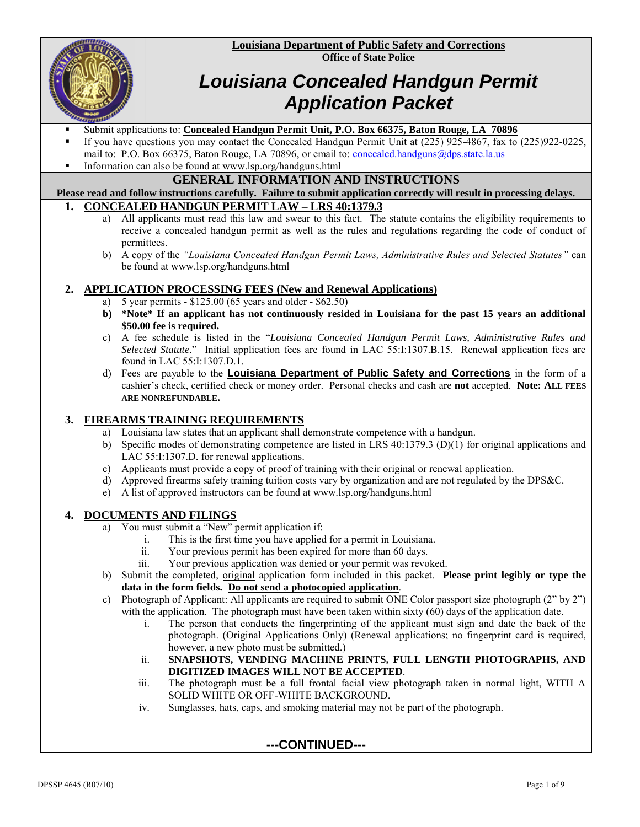**Louisiana Department of Public Safety and Corrections Office of State Police**



# *Louisiana Concealed Handgun Permit Application Packet*

- Submit applications to: **Concealed Handgun Permit Unit, P.O. Box 66375, Baton Rouge, LA 70896**
- If you have questions you may contact the Concealed Handgun Permit Unit at (225) 925-4867, fax to (225) 922-0225, mail to: P.O. Box 66375, Baton Rouge, LA 70896, or email to: [concealed.handguns@dps.state.la.us](mailto:concealed.handguns@dps.state.la.us)
- Information can also be found at www.lsp.org/handguns.html

#### **GENERAL INFORMATION AND INSTRUCTIONS**

**Please read and follow instructions carefully. Failure to submit application correctly will result in processing delays. 1. CONCEALED HANDGUN PERMIT LAW – LRS 40:1379.3**

- a) All applicants must read this law and swear to this fact. The statute contains the eligibility requirements to receive a concealed handgun permit as well as the rules and regulations regarding the code of conduct of permittees.
- b) A copy of the *"Louisiana Concealed Handgun Permit Laws, Administrative Rules and Selected Statutes"* can be found at www.lsp.org/handguns.html

#### **2. APPLICATION PROCESSING FEES (New and Renewal Applications)**

- a) 5 year permits \$125.00 (65 years and older \$62.50)
- **b) \*Note\* If an applicant has not continuously resided in Louisiana for the past 15 years an additional \$50.00 fee is required.**
- c) A fee schedule is listed in the "*Louisiana Concealed Handgun Permit Laws, Administrative Rules and Selected Statute*." Initial application fees are found in LAC 55:I:1307.B.15. Renewal application fees are found in LAC 55:I:1307.D.1.
- d) Fees are payable to the **Louisiana Department of Public Safety and Corrections** in the form of a cashier's check, certified check or money order. Personal checks and cash are **not** accepted. **Note: ALL FEES ARE NONREFUNDABLE.**

#### **3. FIREARMS TRAINING REQUIREMENTS**

- a) Louisiana law states that an applicant shall demonstrate competence with a handgun.
- b) Specific modes of demonstrating competence are listed in LRS 40:1379.3 (D)(1) for original applications and LAC 55:I:1307.D. for renewal applications.
- c) Applicants must provide a copy of proof of training with their original or renewal application.
- d) Approved firearms safety training tuition costs vary by organization and are not regulated by the DPS&C.
- e) A list of approved instructors can be found at www.lsp.org/handguns.html

#### **4. DOCUMENTS AND FILINGS**

- a) You must submit a "New" permit application if:
	- i. This is the first time you have applied for a permit in Louisiana.
	- Your previous permit has been expired for more than 60 days.
	- iii. Your previous application was denied or your permit was revoked.
- b) Submit the completed, original application form included in this packet. **Please print legibly or type the data in the form fields. Do not send a photocopied application**.
- c) Photograph of Applicant: All applicants are required to submit ONE Color passport size photograph (2" by 2") with the application. The photograph must have been taken within sixty (60) days of the application date.
	- i. The person that conducts the fingerprinting of the applicant must sign and date the back of the photograph. (Original Applications Only) (Renewal applications; no fingerprint card is required, however, a new photo must be submitted.)
	- ii. **SNAPSHOTS, VENDING MACHINE PRINTS, FULL LENGTH PHOTOGRAPHS, AND DIGITIZED IMAGES WILL NOT BE ACCEPTED**.
	- iii. The photograph must be a full frontal facial view photograph taken in normal light, WITH A SOLID WHITE OR OFF-WHITE BACKGROUND.
	- iv. Sunglasses, hats, caps, and smoking material may not be part of the photograph.

#### **---CONTINUED---**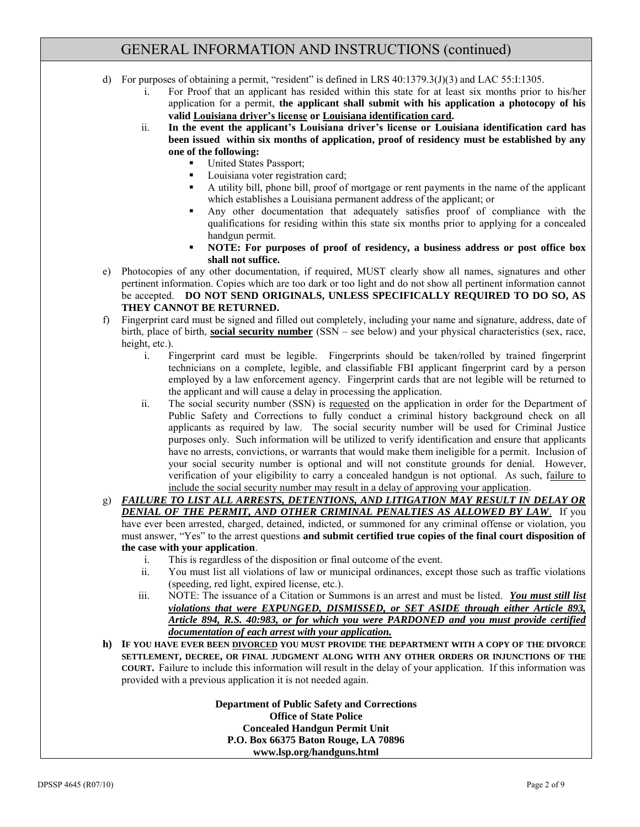### GENERAL INFORMATION AND INSTRUCTIONS (continued)

- d) For purposes of obtaining a permit, "resident" is defined in LRS 40:1379.3(J)(3) and LAC 55:I:1305.
	- i. For Proof that an applicant has resided within this state for at least six months prior to his/her application for a permit, **the applicant shall submit with his application a photocopy of his valid Louisiana driver's license or Louisiana identification card.**
	- ii. **In the event the applicant's Louisiana driver's license or Louisiana identification card has been issued within six months of application, proof of residency must be established by any one of the following:**
		- United States Passport;
		- Louisiana voter registration card;
		- A utility bill, phone bill, proof of mortgage or rent payments in the name of the applicant which establishes a Louisiana permanent address of the applicant; or
		- Any other documentation that adequately satisfies proof of compliance with the qualifications for residing within this state six months prior to applying for a concealed handgun permit.
		- **NOTE: For purposes of proof of residency, a business address or post office box shall not suffice.**
- e) Photocopies of any other documentation, if required, MUST clearly show all names, signatures and other pertinent information. Copies which are too dark or too light and do not show all pertinent information cannot be accepted. **DO NOT SEND ORIGINALS, UNLESS SPECIFICALLY REQUIRED TO DO SO, AS THEY CANNOT BE RETURNED.**
- f) Fingerprint card must be signed and filled out completely, including your name and signature, address, date of birth, place of birth, **social security number** (SSN – see below) and your physical characteristics (sex, race, height, etc.).
	- i. Fingerprint card must be legible. Fingerprints should be taken/rolled by trained fingerprint technicians on a complete, legible, and classifiable FBI applicant fingerprint card by a person employed by a law enforcement agency. Fingerprint cards that are not legible will be returned to the applicant and will cause a delay in processing the application.
	- ii. The social security number (SSN) is requested on the application in order for the Department of Public Safety and Corrections to fully conduct a criminal history background check on all applicants as required by law. The social security number will be used for Criminal Justice purposes only. Such information will be utilized to verify identification and ensure that applicants have no arrests, convictions, or warrants that would make them ineligible for a permit. Inclusion of your social security number is optional and will not constitute grounds for denial. However, verification of your eligibility to carry a concealed handgun is not optional. As such, failure to include the social security number may result in a delay of approving your application.
- g) *FAILURE TO LIST ALL ARRESTS, DETENTIONS, AND LITIGATION MAY RESULT IN DELAY OR DENIAL OF THE PERMIT, AND OTHER CRIMINAL PENALTIES AS ALLOWED BY LAW*. If you have ever been arrested, charged, detained, indicted, or summoned for any criminal offense or violation, you must answer, "Yes" to the arrest questions **and submit certified true copies of the final court disposition of the case with your application**.
	- i. This is regardless of the disposition or final outcome of the event.
	- ii. You must list all violations of law or municipal ordinances, except those such as traffic violations (speeding, red light, expired license, etc.).
	- iii. NOTE: The issuance of a Citation or Summons is an arrest and must be listed. *You must still list violations that were EXPUNGED, DISMISSED, or SET ASIDE through either Article 893, Article 894, R.S. 40:983, or for which you were PARDONED and you must provide certified documentation of each arrest with your application.*
- **h) IF YOU HAVE EVER BEEN DIVORCED YOU MUST PROVIDE THE DEPARTMENT WITH A COPY OF THE DIVORCE SETTLEMENT, DECREE, OR FINAL JUDGMENT ALONG WITH ANY OTHER ORDERS OR INJUNCTIONS OF THE COURT.** Failure to include this information will result in the delay of your application. If this information was provided with a previous application it is not needed again.

**Department of Public Safety and Corrections Office of State Police Concealed Handgun Permit Unit P.O. Box 66375 Baton Rouge, LA 70896 www.lsp.org/handguns.html**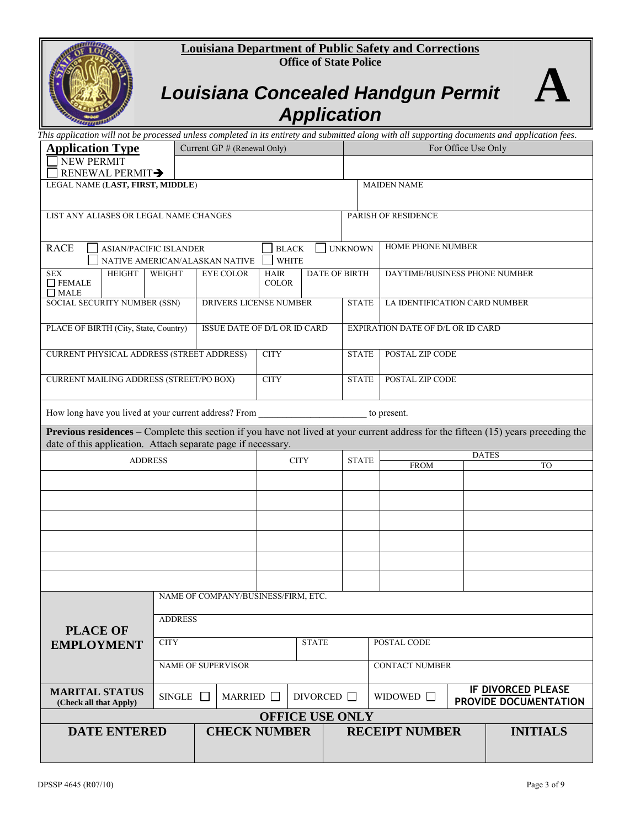#### **Louisiana Department of Public Safety and Corrections Office of State Police**



# *Louisiana Concealed Handgun Permit Application*

| This application will not be processed unless completed in its entirety and submitted along with all supporting documents and application fees.                                                           |                                                                      |                        |                             |                                                |                        |                     |                                          |              |                                                    |
|-----------------------------------------------------------------------------------------------------------------------------------------------------------------------------------------------------------|----------------------------------------------------------------------|------------------------|-----------------------------|------------------------------------------------|------------------------|---------------------|------------------------------------------|--------------|----------------------------------------------------|
| <b>Application Type</b><br>Current GP # (Renewal Only)                                                                                                                                                    |                                                                      |                        |                             |                                                |                        | For Office Use Only |                                          |              |                                                    |
| <b>NEW PERMIT</b><br>RENEWAL PERMIT-                                                                                                                                                                      |                                                                      |                        |                             |                                                |                        |                     |                                          |              |                                                    |
| LEGAL NAME (LAST, FIRST, MIDDLE)                                                                                                                                                                          |                                                                      |                        |                             |                                                |                        |                     | <b>MAIDEN NAME</b>                       |              |                                                    |
|                                                                                                                                                                                                           |                                                                      |                        |                             |                                                |                        |                     |                                          |              |                                                    |
|                                                                                                                                                                                                           | LIST ANY ALIASES OR LEGAL NAME CHANGES<br>PARISH OF RESIDENCE        |                        |                             |                                                |                        |                     |                                          |              |                                                    |
|                                                                                                                                                                                                           |                                                                      |                        |                             |                                                |                        |                     |                                          |              |                                                    |
| <b>RACE</b><br><b>ASIAN/PACIFIC ISLANDER</b><br>NATIVE AMERICAN/ALASKAN NATIVE                                                                                                                            |                                                                      |                        |                             | <b>UNKNOWN</b><br><b>BLACK</b><br><b>WHITE</b> |                        |                     | <b>HOME PHONE NUMBER</b>                 |              |                                                    |
| <b>SEX</b><br>HEIGHT<br>$\Box$ FEMALE<br>$\Box$ MALE                                                                                                                                                      | WEIGHT                                                               | <b>EYE COLOR</b>       | <b>HAIR</b><br><b>COLOR</b> |                                                | <b>DATE OF BIRTH</b>   |                     | DAYTIME/BUSINESS PHONE NUMBER            |              |                                                    |
| SOCIAL SECURITY NUMBER (SSN)                                                                                                                                                                              |                                                                      | DRIVERS LICENSE NUMBER |                             |                                                |                        | <b>STATE</b>        | LA IDENTIFICATION CARD NUMBER            |              |                                                    |
| PLACE OF BIRTH (City, State, Country)                                                                                                                                                                     |                                                                      |                        |                             | ISSUE DATE OF D/L OR ID CARD                   |                        |                     | <b>EXPIRATION DATE OF D/L OR ID CARD</b> |              |                                                    |
| <b>CURRENT PHYSICAL ADDRESS (STREET ADDRESS)</b>                                                                                                                                                          |                                                                      |                        | <b>CITY</b>                 |                                                |                        | <b>STATE</b>        | POSTAL ZIP CODE                          |              |                                                    |
| <b>CURRENT MAILING ADDRESS (STREET/PO BOX)</b>                                                                                                                                                            |                                                                      |                        | <b>CITY</b>                 |                                                |                        | <b>STATE</b>        | POSTAL ZIP CODE                          |              |                                                    |
|                                                                                                                                                                                                           | How long have you lived at your current address? From<br>to present. |                        |                             |                                                |                        |                     |                                          |              |                                                    |
| <b>Previous residences</b> – Complete this section if you have not lived at your current address for the fifteen (15) years preceding the<br>date of this application. Attach separate page if necessary. |                                                                      |                        |                             |                                                |                        |                     |                                          |              |                                                    |
| <b>ADDRESS</b>                                                                                                                                                                                            |                                                                      |                        |                             | <b>CITY</b>                                    |                        | <b>STATE</b>        | <b>FROM</b>                              | <b>DATES</b> | TO                                                 |
|                                                                                                                                                                                                           |                                                                      |                        |                             |                                                |                        |                     |                                          |              |                                                    |
|                                                                                                                                                                                                           |                                                                      |                        |                             |                                                |                        |                     |                                          |              |                                                    |
|                                                                                                                                                                                                           |                                                                      |                        |                             |                                                |                        |                     |                                          |              |                                                    |
|                                                                                                                                                                                                           |                                                                      |                        |                             |                                                |                        |                     |                                          |              |                                                    |
|                                                                                                                                                                                                           |                                                                      |                        |                             |                                                |                        |                     |                                          |              |                                                    |
|                                                                                                                                                                                                           |                                                                      |                        |                             |                                                |                        |                     |                                          |              |                                                    |
| NAME OF COMPANY/BUSINESS/FIRM, ETC.                                                                                                                                                                       |                                                                      |                        |                             |                                                |                        |                     |                                          |              |                                                    |
|                                                                                                                                                                                                           | <b>ADDRESS</b>                                                       |                        |                             |                                                |                        |                     |                                          |              |                                                    |
| <b>PLACE OF</b>                                                                                                                                                                                           |                                                                      |                        |                             |                                                |                        |                     |                                          |              |                                                    |
| <b>EMPLOYMENT</b>                                                                                                                                                                                         | <b>CITY</b>                                                          |                        |                             | <b>STATE</b>                                   |                        |                     | POSTAL CODE                              |              |                                                    |
|                                                                                                                                                                                                           |                                                                      | NAME OF SUPERVISOR     |                             |                                                |                        |                     | <b>CONTACT NUMBER</b>                    |              |                                                    |
| <b>MARITAL STATUS</b><br>(Check all that Apply)                                                                                                                                                           | SINGLE                                                               | MARRIED <b>D</b>       |                             |                                                | DIVORCED <b>D</b>      |                     | WIDOWED $\Box$                           |              | <b>IF DIVORCED PLEASE</b><br>PROVIDE DOCUMENTATION |
|                                                                                                                                                                                                           |                                                                      |                        |                             |                                                | <b>OFFICE USE ONLY</b> |                     |                                          |              |                                                    |
| <b>DATE ENTERED</b>                                                                                                                                                                                       |                                                                      | <b>CHECK NUMBER</b>    |                             |                                                |                        |                     | <b>RECEIPT NUMBER</b>                    |              | <b>INITIALS</b>                                    |
|                                                                                                                                                                                                           |                                                                      |                        |                             |                                                |                        |                     |                                          |              |                                                    |

**A**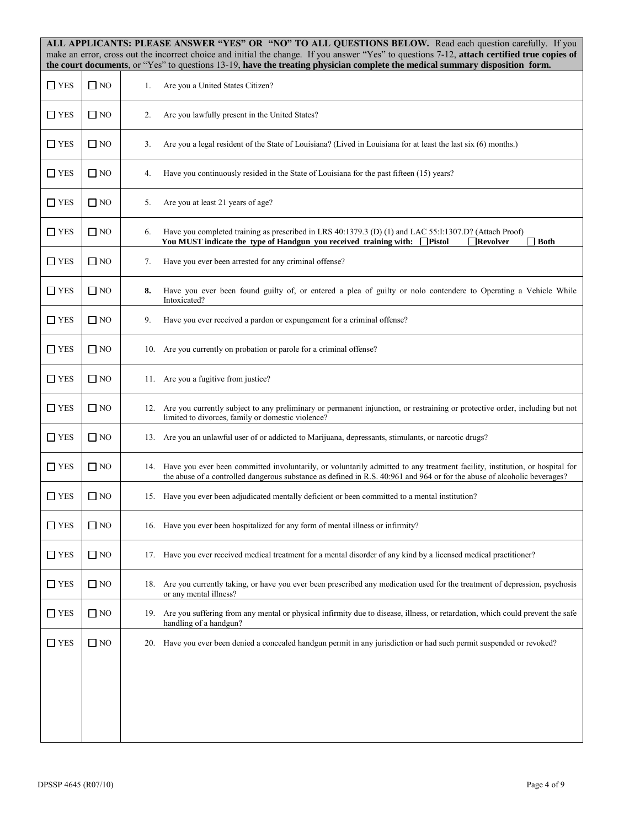|               |              | ALL APPLICANTS: PLEASE ANSWER "YES" OR "NO" TO ALL QUESTIONS BELOW. Read each question carefully. If you<br>make an error, cross out the incorrect choice and initial the change. If you answer "Yes" to questions 7-12, attach certified true copies of<br>the court documents, or "Yes" to questions 13-19, have the treating physician complete the medical summary disposition form. |
|---------------|--------------|------------------------------------------------------------------------------------------------------------------------------------------------------------------------------------------------------------------------------------------------------------------------------------------------------------------------------------------------------------------------------------------|
| $\Box$ YES    | $\Box$ NO    | Are you a United States Citizen?<br>1.                                                                                                                                                                                                                                                                                                                                                   |
| $\Box$ YES    | $\Box$ NO    | Are you lawfully present in the United States?<br>2.                                                                                                                                                                                                                                                                                                                                     |
| $\Box$ YES    | $\Box$ NO    | Are you a legal resident of the State of Louisiana? (Lived in Louisiana for at least the last six (6) months.)<br>3.                                                                                                                                                                                                                                                                     |
| $\square$ YES | $\Box$ NO    | Have you continuously resided in the State of Louisiana for the past fifteen (15) years?<br>4.                                                                                                                                                                                                                                                                                           |
| $\Box$ YES    | $\Box$ NO    | Are you at least 21 years of age?<br>5.                                                                                                                                                                                                                                                                                                                                                  |
| $\square$ YES | $\Box$ NO    | Have you completed training as prescribed in LRS 40:1379.3 (D) (1) and LAC 55:1:1307.D? (Attach Proof)<br>6.<br>You MUST indicate the type of Handgun you received training with: □ Pistol<br>$\Box$ Revolver<br>$\Box$ Both                                                                                                                                                             |
| $\Box$ YES    | $\Box$ NO    | Have you ever been arrested for any criminal offense?<br>7.                                                                                                                                                                                                                                                                                                                              |
| $\Box$ YES    | $\Box$ NO    | Have you ever been found guilty of, or entered a plea of guilty or nolo contendere to Operating a Vehicle While<br>8.<br>Intoxicated?                                                                                                                                                                                                                                                    |
| $\square$ YES | $\Box$ NO    | Have you ever received a pardon or expungement for a criminal offense?<br>9.                                                                                                                                                                                                                                                                                                             |
| $\square$ YES | $\square$ NO | 10. Are you currently on probation or parole for a criminal offense?                                                                                                                                                                                                                                                                                                                     |
| $\square$ YES | $\Box$ NO    | 11. Are you a fugitive from justice?                                                                                                                                                                                                                                                                                                                                                     |
| $\Box$ YES    | $\Box$ NO    | 12. Are you currently subject to any preliminary or permanent injunction, or restraining or protective order, including but not<br>limited to divorces, family or domestic violence?                                                                                                                                                                                                     |
| $\square$ YES | $\Box$ NO    | 13. Are you an unlawful user of or addicted to Marijuana, depressants, stimulants, or narcotic drugs?                                                                                                                                                                                                                                                                                    |
| $\square$ YES | $\Box$ NO    | 14. Have you ever been committed involuntarily, or voluntarily admitted to any treatment facility, institution, or hospital for<br>the abuse of a controlled dangerous substance as defined in R.S. 40:961 and 964 or for the abuse of alcoholic beverages?                                                                                                                              |
| $\Box$ YES    | $\Box$ NO    | 15. Have you ever been adjudicated mentally deficient or been committed to a mental institution?                                                                                                                                                                                                                                                                                         |
| $\square$ YES | $\Box$ NO    | Have you ever been hospitalized for any form of mental illness or infirmity?<br>16.                                                                                                                                                                                                                                                                                                      |
| $\Box$ YES    | $\Box$ NO    | Have you ever received medical treatment for a mental disorder of any kind by a licensed medical practitioner?<br>17.                                                                                                                                                                                                                                                                    |
| $\square$ YES | $\square$ NO | Are you currently taking, or have you ever been prescribed any medication used for the treatment of depression, psychosis<br>18.<br>or any mental illness?                                                                                                                                                                                                                               |
| $\square$ YES | $\square$ NO | Are you suffering from any mental or physical infirmity due to disease, illness, or retardation, which could prevent the safe<br>19.<br>handling of a handgun?                                                                                                                                                                                                                           |
| $\square$ YES | $\Box$ NO    | Have you ever been denied a concealed handgun permit in any jurisdiction or had such permit suspended or revoked?<br>20.                                                                                                                                                                                                                                                                 |
|               |              |                                                                                                                                                                                                                                                                                                                                                                                          |
|               |              |                                                                                                                                                                                                                                                                                                                                                                                          |
|               |              |                                                                                                                                                                                                                                                                                                                                                                                          |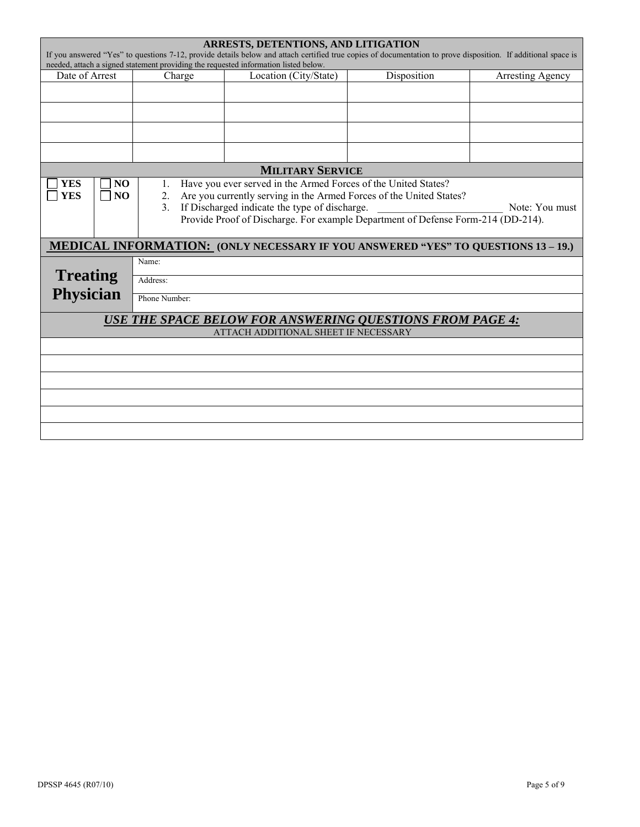|                                                                                                                                                                                                                                                      | <b>ARRESTS, DETENTIONS, AND LITIGATION</b> |                                                                                                                                                                                                                                                                                                                              |                                      |                                                                                        |                         |  |  |
|------------------------------------------------------------------------------------------------------------------------------------------------------------------------------------------------------------------------------------------------------|--------------------------------------------|------------------------------------------------------------------------------------------------------------------------------------------------------------------------------------------------------------------------------------------------------------------------------------------------------------------------------|--------------------------------------|----------------------------------------------------------------------------------------|-------------------------|--|--|
| If you answered "Yes" to questions 7-12, provide details below and attach certified true copies of documentation to prove disposition. If additional space is<br>needed, attach a signed statement providing the requested information listed below. |                                            |                                                                                                                                                                                                                                                                                                                              |                                      |                                                                                        |                         |  |  |
| Date of Arrest                                                                                                                                                                                                                                       |                                            | Charge                                                                                                                                                                                                                                                                                                                       | Location (City/State)                | Disposition                                                                            | <b>Arresting Agency</b> |  |  |
|                                                                                                                                                                                                                                                      |                                            |                                                                                                                                                                                                                                                                                                                              |                                      |                                                                                        |                         |  |  |
|                                                                                                                                                                                                                                                      |                                            |                                                                                                                                                                                                                                                                                                                              |                                      |                                                                                        |                         |  |  |
|                                                                                                                                                                                                                                                      |                                            |                                                                                                                                                                                                                                                                                                                              |                                      |                                                                                        |                         |  |  |
|                                                                                                                                                                                                                                                      |                                            |                                                                                                                                                                                                                                                                                                                              |                                      |                                                                                        |                         |  |  |
|                                                                                                                                                                                                                                                      |                                            |                                                                                                                                                                                                                                                                                                                              |                                      |                                                                                        |                         |  |  |
|                                                                                                                                                                                                                                                      |                                            |                                                                                                                                                                                                                                                                                                                              | <b>MILITARY SERVICE</b>              |                                                                                        |                         |  |  |
| <b>YES</b><br><b>YES</b>                                                                                                                                                                                                                             | N <sub>O</sub><br>NO                       | Have you ever served in the Armed Forces of the United States?<br>1.<br>Are you currently serving in the Armed Forces of the United States?<br>2.<br>If Discharged indicate the type of discharge.<br>$\overline{3}$ .<br>Note: You must<br>Provide Proof of Discharge. For example Department of Defense Form-214 (DD-214). |                                      |                                                                                        |                         |  |  |
|                                                                                                                                                                                                                                                      |                                            |                                                                                                                                                                                                                                                                                                                              |                                      | <b>MEDICAL INFORMATION: (ONLY NECESSARY IF YOU ANSWERED "YES" TO QUESTIONS 13-19.)</b> |                         |  |  |
|                                                                                                                                                                                                                                                      |                                            | Name:                                                                                                                                                                                                                                                                                                                        |                                      |                                                                                        |                         |  |  |
| <b>Treating</b><br>Address:                                                                                                                                                                                                                          |                                            |                                                                                                                                                                                                                                                                                                                              |                                      |                                                                                        |                         |  |  |
| <b>Physician</b><br>Phone Number:                                                                                                                                                                                                                    |                                            |                                                                                                                                                                                                                                                                                                                              |                                      |                                                                                        |                         |  |  |
|                                                                                                                                                                                                                                                      |                                            |                                                                                                                                                                                                                                                                                                                              |                                      |                                                                                        |                         |  |  |
| <b>USE THE SPACE BELOW FOR ANSWERING QUESTIONS FROM PAGE 4:</b>                                                                                                                                                                                      |                                            |                                                                                                                                                                                                                                                                                                                              |                                      |                                                                                        |                         |  |  |
|                                                                                                                                                                                                                                                      |                                            |                                                                                                                                                                                                                                                                                                                              | ATTACH ADDITIONAL SHEET IF NECESSARY |                                                                                        |                         |  |  |
|                                                                                                                                                                                                                                                      |                                            |                                                                                                                                                                                                                                                                                                                              |                                      |                                                                                        |                         |  |  |
|                                                                                                                                                                                                                                                      |                                            |                                                                                                                                                                                                                                                                                                                              |                                      |                                                                                        |                         |  |  |
|                                                                                                                                                                                                                                                      |                                            |                                                                                                                                                                                                                                                                                                                              |                                      |                                                                                        |                         |  |  |
|                                                                                                                                                                                                                                                      |                                            |                                                                                                                                                                                                                                                                                                                              |                                      |                                                                                        |                         |  |  |
|                                                                                                                                                                                                                                                      |                                            |                                                                                                                                                                                                                                                                                                                              |                                      |                                                                                        |                         |  |  |
|                                                                                                                                                                                                                                                      |                                            |                                                                                                                                                                                                                                                                                                                              |                                      |                                                                                        |                         |  |  |
|                                                                                                                                                                                                                                                      |                                            |                                                                                                                                                                                                                                                                                                                              |                                      |                                                                                        |                         |  |  |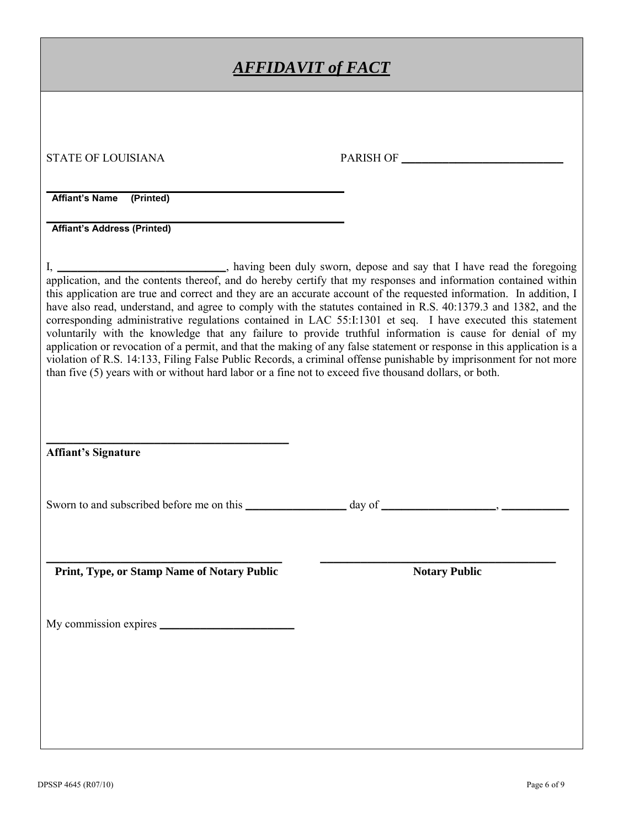| <u>AFFIDAVIT of FACT</u>                                                                                                                                                                                                                                                                                                                                                                                                                                                                                                                                                                                                                                                                                                                                                                                                                                                                                                                                                                                                                                 |                      |  |  |  |
|----------------------------------------------------------------------------------------------------------------------------------------------------------------------------------------------------------------------------------------------------------------------------------------------------------------------------------------------------------------------------------------------------------------------------------------------------------------------------------------------------------------------------------------------------------------------------------------------------------------------------------------------------------------------------------------------------------------------------------------------------------------------------------------------------------------------------------------------------------------------------------------------------------------------------------------------------------------------------------------------------------------------------------------------------------|----------------------|--|--|--|
|                                                                                                                                                                                                                                                                                                                                                                                                                                                                                                                                                                                                                                                                                                                                                                                                                                                                                                                                                                                                                                                          |                      |  |  |  |
| <b>STATE OF LOUISIANA</b>                                                                                                                                                                                                                                                                                                                                                                                                                                                                                                                                                                                                                                                                                                                                                                                                                                                                                                                                                                                                                                | PARISH OF            |  |  |  |
| <b>Affiant's Name</b><br>(Printed)                                                                                                                                                                                                                                                                                                                                                                                                                                                                                                                                                                                                                                                                                                                                                                                                                                                                                                                                                                                                                       |                      |  |  |  |
| <b>Affiant's Address (Printed)</b>                                                                                                                                                                                                                                                                                                                                                                                                                                                                                                                                                                                                                                                                                                                                                                                                                                                                                                                                                                                                                       |                      |  |  |  |
| I, _____________________________, having been duly sworn, depose and say that I have read the foregoing<br>application, and the contents thereof, and do hereby certify that my responses and information contained within<br>this application are true and correct and they are an accurate account of the requested information. In addition, I<br>have also read, understand, and agree to comply with the statutes contained in R.S. 40:1379.3 and 1382, and the<br>corresponding administrative regulations contained in LAC 55:1:1301 et seq. I have executed this statement<br>voluntarily with the knowledge that any failure to provide truthful information is cause for denial of my<br>application or revocation of a permit, and that the making of any false statement or response in this application is a<br>violation of R.S. 14:133, Filing False Public Records, a criminal offense punishable by imprisonment for not more<br>than five (5) years with or without hard labor or a fine not to exceed five thousand dollars, or both. |                      |  |  |  |
| <b>Affiant's Signature</b>                                                                                                                                                                                                                                                                                                                                                                                                                                                                                                                                                                                                                                                                                                                                                                                                                                                                                                                                                                                                                               |                      |  |  |  |
| Sworn to and subscribed before me on this                                                                                                                                                                                                                                                                                                                                                                                                                                                                                                                                                                                                                                                                                                                                                                                                                                                                                                                                                                                                                | day of               |  |  |  |
| Print, Type, or Stamp Name of Notary Public                                                                                                                                                                                                                                                                                                                                                                                                                                                                                                                                                                                                                                                                                                                                                                                                                                                                                                                                                                                                              | <b>Notary Public</b> |  |  |  |
|                                                                                                                                                                                                                                                                                                                                                                                                                                                                                                                                                                                                                                                                                                                                                                                                                                                                                                                                                                                                                                                          |                      |  |  |  |
|                                                                                                                                                                                                                                                                                                                                                                                                                                                                                                                                                                                                                                                                                                                                                                                                                                                                                                                                                                                                                                                          |                      |  |  |  |
|                                                                                                                                                                                                                                                                                                                                                                                                                                                                                                                                                                                                                                                                                                                                                                                                                                                                                                                                                                                                                                                          |                      |  |  |  |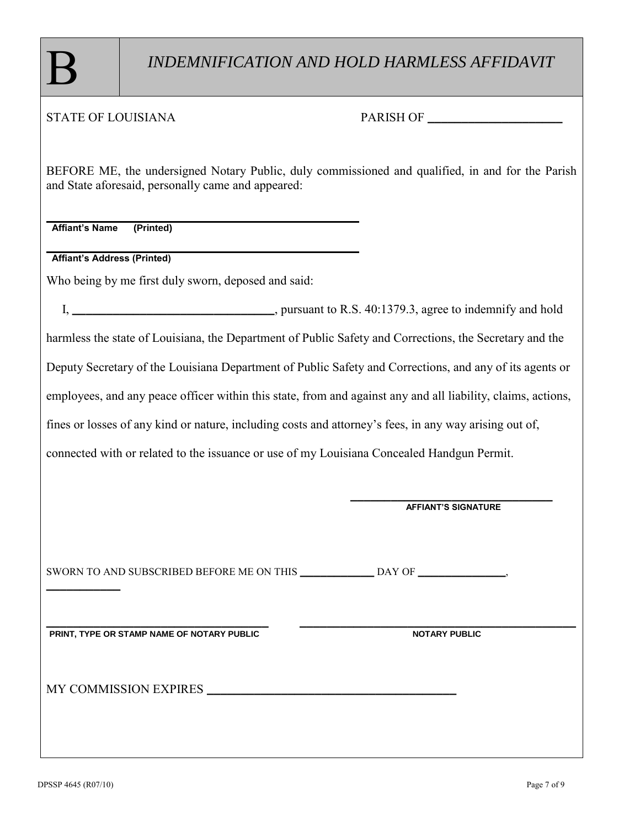### STATE OF LOUISIANA PARISH OF **\_\_\_\_\_\_\_\_\_\_\_\_\_\_\_\_\_\_\_\_**

BEFORE ME, the undersigned Notary Public, duly commissioned and qualified, in and for the Parish and State aforesaid, personally came and appeared:

**Affiant's Name (Printed)**

**Affiant's Address (Printed)**

Who being by me first duly sworn, deposed and said:

 I, **\_\_\_\_\_\_\_\_\_\_\_\_\_\_\_\_\_\_\_\_\_\_\_\_\_\_\_\_\_\_**, pursuant to R.S. 40:1379.3, agree to indemnify and hold harmless the state of Louisiana, the Department of Public Safety and Corrections, the Secretary and the Deputy Secretary of the Louisiana Department of Public Safety and Corrections, and any of its agents or employees, and any peace officer within this state, from and against any and all liability, claims, actions, fines or losses of any kind or nature, including costs and attorney's fees, in any way arising out of, connected with or related to the issuance or use of my Louisiana Concealed Handgun Permit.

|                                            | <b>AFFIANT'S SIGNATURE</b> |
|--------------------------------------------|----------------------------|
|                                            |                            |
| PRINT, TYPE OR STAMP NAME OF NOTARY PUBLIC | <b>NOTARY PUBLIC</b>       |
| MY COMMISSION EXPIRES                      |                            |
|                                            |                            |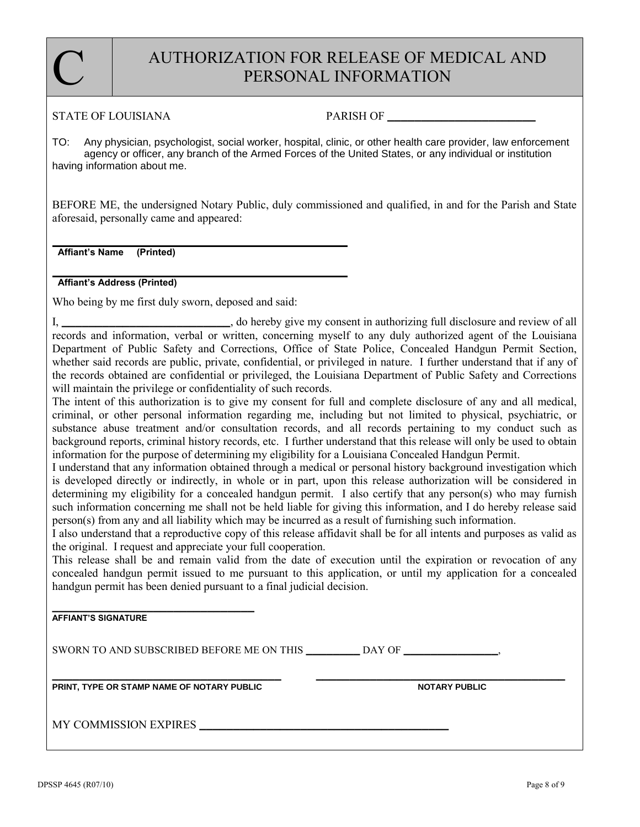### AUTHORIZATION FOR RELEASE OF MEDICAL AND PERSONAL INFORMATION

#### STATE OF LOUISIANA PARISH OF

C

TO: Any physician, psychologist, social worker, hospital, clinic, or other health care provider, law enforcement agency or officer, any branch of the Armed Forces of the United States, or any individual or institution having information about me.

BEFORE ME, the undersigned Notary Public, duly commissioned and qualified, in and for the Parish and State aforesaid, personally came and appeared:

**Affiant's Name (Printed)**

**Affiant's Address (Printed)**

Who being by me first duly sworn, deposed and said:

I, **\_\_\_\_\_\_\_\_\_\_\_\_\_\_\_\_\_\_\_\_\_\_\_\_\_**, do hereby give my consent in authorizing full disclosure and review of all records and information, verbal or written, concerning myself to any duly authorized agent of the Louisiana Department of Public Safety and Corrections, Office of State Police, Concealed Handgun Permit Section, whether said records are public, private, confidential, or privileged in nature. I further understand that if any of the records obtained are confidential or privileged, the Louisiana Department of Public Safety and Corrections will maintain the privilege or confidentiality of such records.

The intent of this authorization is to give my consent for full and complete disclosure of any and all medical, criminal, or other personal information regarding me, including but not limited to physical, psychiatric, or substance abuse treatment and/or consultation records, and all records pertaining to my conduct such as background reports, criminal history records, etc. I further understand that this release will only be used to obtain information for the purpose of determining my eligibility for a Louisiana Concealed Handgun Permit.

I understand that any information obtained through a medical or personal history background investigation which is developed directly or indirectly, in whole or in part, upon this release authorization will be considered in determining my eligibility for a concealed handgun permit. I also certify that any person(s) who may furnish such information concerning me shall not be held liable for giving this information, and I do hereby release said person(s) from any and all liability which may be incurred as a result of furnishing such information.

I also understand that a reproductive copy of this release affidavit shall be for all intents and purposes as valid as the original. I request and appreciate your full cooperation.

This release shall be and remain valid from the date of execution until the expiration or revocation of any concealed handgun permit issued to me pursuant to this application, or until my application for a concealed handgun permit has been denied pursuant to a final judicial decision.

**AFFIANT'S SIGNATURE**

SWORN TO AND SUBSCRIBED BEFORE ME ON THIS **\_\_\_\_\_\_\_\_** DAY OF **\_\_\_\_\_\_\_\_\_\_\_\_\_\_**,

**\_\_\_\_\_\_\_\_\_\_\_\_\_\_\_\_\_\_\_\_\_\_\_\_\_\_\_\_\_\_\_\_\_\_ \_\_\_\_\_\_\_\_\_\_\_\_\_\_\_\_\_\_\_\_\_\_\_\_\_\_\_\_\_\_\_\_\_\_\_\_\_ PRINT, TYPE OR STAMP NAME OF NOTARY PUBLIC NOTARY PUBLIC**

**\_\_\_\_\_\_\_\_\_\_\_\_\_\_\_\_\_\_\_\_\_\_\_\_\_\_\_\_\_\_**

MY COMMISSION EXPIRES **\_\_\_\_\_\_\_\_\_\_\_\_\_\_\_\_\_\_\_\_\_\_\_\_\_\_\_\_\_\_\_\_\_\_\_\_\_**